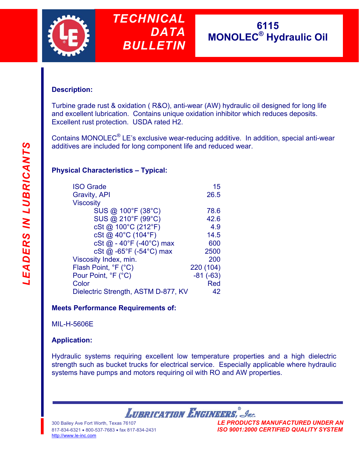

# *TECHNICAL DATA BULLETIN*

## **6115 MONOLEC® Hydraulic Oil**

## **Description :**

Turbine gra de rust & oxidation ( R&O), anti-wear (AW) hydraulic oil designed for long life and excelle nt lubrication. Contains unique oxidation inhibitor which reduces deposits. Excellent rust protection. USDA rated H2.

Contains MONOLEC<sup>®</sup> LE's exclusive wear-reducing additive. In addition, special anti-wear additives ar e included for long component life and reduced wear.

## **Physical C haracteristics – Typical:**

| <b>ISO Grade</b>                         | 15         |
|------------------------------------------|------------|
| <b>Gravity, API</b>                      | 26.5       |
| <b>Viscosity</b>                         |            |
| SUS @ 100°F (38°C)                       | 78.6       |
| SUS @ 210°F (99°C)                       | 42.6       |
| cSt @ 100°C (212°F)                      | 4.9        |
| cSt @ 40°C (104°F)                       | 14.5       |
| cSt $@ - 40^{\circ}F (-40^{\circ}C)$ max | 600        |
| cSt @ -65°F (-54°C) max                  | 2500       |
| Viscosity Index, min.                    | 200        |
| Flash Point, °F (°C)                     | 220 (104)  |
| Pour Point, °F (°C)                      | $-81(-63)$ |
| Color                                    | Red        |
| Dielectric Strength, ASTM D-877, KV      | 42         |

### **Meets Perf ormance Requirements of:**

#### MIL-H-5606 E

#### **Application :**

Hydraulic s ystems requiring excellent low temperature properties and a high dielectric strength su ch as bucket trucks for electrical service. Especially applicable where hydraulic systems ha ve pumps and motors requiring oil with RO and AW properties.

**LUBRICATION ENGINEERS**, Inc.

300 Bailey Ave Fort Worth, Texas 76107 *LE PRODUCTS MANUFACTURED UNDER AN* 817-834-6321 • 800-537-7683 • fax 817-834-2431*ISO 9001:2000 CERTIFIED QUALITY SYSTEM*